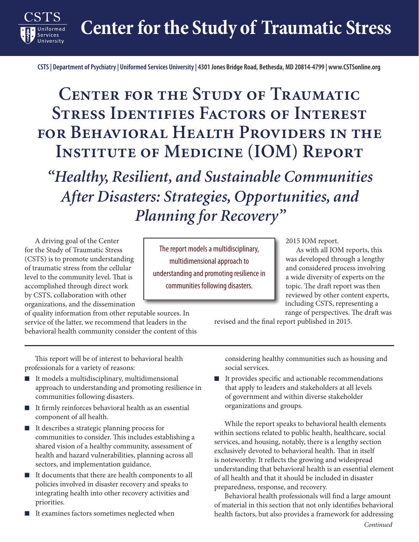**Center for the Study of Traumatic Stress**

**CSTS | Department of Psychiatry | Uniformed Services University | 4301 Jones Bridge Road, Bethesda, MD 20814-4799 | www.CSTSonline.org**

## **Center for the Study of Traumatic Stress Identifies Factors of Interest for Behavioral Health Providers in the INSTITUTE OF MEDICINE (IOM) REPORT**

*"Healthy, Resilient, and Sustainable Communities After Disasters: Strategies, Opportunities, and Planning for Recovery"*

A driving goal of the Center for the Study of Traumatic Stress (CSTS) is to promote understanding of traumatic stress from the cellular level to the community level. That is accomplished through direct work by CSTS, collaboration with other organizations, and the dissemination

**Services** 

of quality information from other reputable sources. In service of the latter, we recommend that leaders in the behavioral health community consider the content of this

This report will be of interest to behavioral health professionals for a variety of reasons:

- It models a multidisciplinary, multidimensional approach to understanding and promoting resilience in communities following disasters.
- It firmly reinforces behavioral health as an essential component of all health.
- It describes a strategic planning process for communities to consider. This includes establishing a shared vision of a healthy community, assessment of health and hazard vulnerabilities, planning across all sectors, and implementation guidance.
- It documents that there are health components to all policies involved in disaster recovery and speaks to integrating health into other recovery activities and priorities.
- It examines factors sometimes neglected when

The report models a multidisciplinary, multidimensional approach to understanding and promoting resilience in communities following disasters.

2015 IOM report.

As with all IOM reports, this was developed through a lengthy and considered process involving a wide diversity of experts on the topic. The draft report was then reviewed by other content experts, including CSTS, representing a range of perspectives. The draft was

revised and the final report published in 2015.

considering healthy communities such as housing and social services.

■ It provides specific and actionable recommendations that apply to leaders and stakeholders at all levels of government and within diverse stakeholder organizations and groups.

While the report speaks to behavioral health elements within sections related to public health, healthcare, social services, and housing, notably, there is a lengthy section exclusively devoted to behavioral health. That in itself is noteworthy. It reflects the growing and widespread understanding that behavioral health is an essential element of all health and that it should be included in disaster preparedness, response, and recovery.

Behavioral health professionals will find a large amount of material in this section that not only identifies behavioral health factors, but also provides a framework for addressing